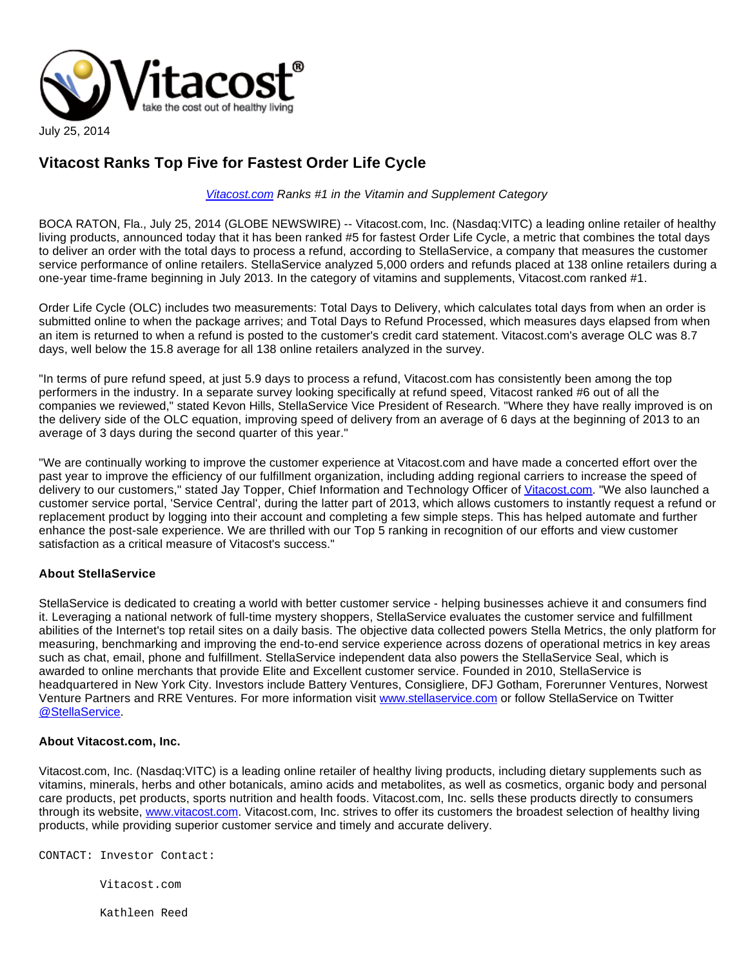

## **Vitacost Ranks Top Five for Fastest Order Life Cycle**

## [Vitacost.com](http://vitacost.com/) Ranks #1 in the Vitamin and Supplement Category

BOCA RATON, Fla., July 25, 2014 (GLOBE NEWSWIRE) -- Vitacost.com, Inc. (Nasdaq:VITC) a leading online retailer of healthy living products, announced today that it has been ranked #5 for fastest Order Life Cycle, a metric that combines the total days to deliver an order with the total days to process a refund, according to StellaService, a company that measures the customer service performance of online retailers. StellaService analyzed 5,000 orders and refunds placed at 138 online retailers during a one-year time-frame beginning in July 2013. In the category of vitamins and supplements, Vitacost.com ranked #1.

Order Life Cycle (OLC) includes two measurements: Total Days to Delivery, which calculates total days from when an order is submitted online to when the package arrives; and Total Days to Refund Processed, which measures days elapsed from when an item is returned to when a refund is posted to the customer's credit card statement. Vitacost.com's average OLC was 8.7 days, well below the 15.8 average for all 138 online retailers analyzed in the survey.

"In terms of pure refund speed, at just 5.9 days to process a refund, Vitacost.com has consistently been among the top performers in the industry. In a separate survey looking specifically at refund speed, Vitacost ranked #6 out of all the companies we reviewed," stated Kevon Hills, StellaService Vice President of Research. "Where they have really improved is on the delivery side of the OLC equation, improving speed of delivery from an average of 6 days at the beginning of 2013 to an average of 3 days during the second quarter of this year."

"We are continually working to improve the customer experience at Vitacost.com and have made a concerted effort over the past year to improve the efficiency of our fulfillment organization, including adding regional carriers to increase the speed of delivery to our customers," stated Jay Topper, Chief Information and Technology Officer of [Vitacost.com.](http://vitacost.com/) "We also launched a customer service portal, 'Service Central', during the latter part of 2013, which allows customers to instantly request a refund or replacement product by logging into their account and completing a few simple steps. This has helped automate and further enhance the post-sale experience. We are thrilled with our Top 5 ranking in recognition of our efforts and view customer satisfaction as a critical measure of Vitacost's success."

## **About StellaService**

StellaService is dedicated to creating a world with better customer service - helping businesses achieve it and consumers find it. Leveraging a national network of full-time mystery shoppers, StellaService evaluates the customer service and fulfillment abilities of the Internet's top retail sites on a daily basis. The objective data collected powers Stella Metrics, the only platform for measuring, benchmarking and improving the end-to-end service experience across dozens of operational metrics in key areas such as chat, email, phone and fulfillment. StellaService independent data also powers the StellaService Seal, which is awarded to online merchants that provide Elite and Excellent customer service. Founded in 2010, StellaService is headquartered in New York City. Investors include Battery Ventures, Consigliere, DFJ Gotham, Forerunner Ventures, Norwest Venture Partners and RRE Ventures. For more information visit [www.stellaservice.com](http://www.stellaservice.com/) or follow StellaService on Twitter [@StellaService.](http://www.globenewswire.com/newsroom/ctr?d=10091055&l=7&a=%40StellaService&u=https%3A%2F%2Ftwitter.com%2Ftymcmahan)

## **About Vitacost.com, Inc.**

Vitacost.com, Inc. (Nasdaq:VITC) is a leading online retailer of healthy living products, including dietary supplements such as vitamins, minerals, herbs and other botanicals, amino acids and metabolites, as well as cosmetics, organic body and personal care products, pet products, sports nutrition and health foods. Vitacost.com, Inc. sells these products directly to consumers through its website, [www.vitacost.com.](http://www.vitacost.com/) Vitacost.com, Inc. strives to offer its customers the broadest selection of healthy living products, while providing superior customer service and timely and accurate delivery.

CONTACT: Investor Contact:

Vitacost.com

Kathleen Reed